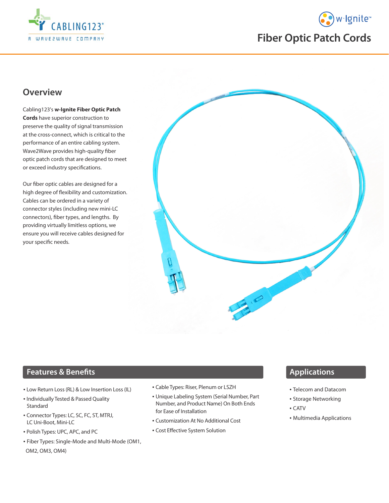



# **Fiber Optic Patch Cords**

## **Overview**

Cabling123's **w-Ignite Fiber Optic Patch Cords** have superior construction to preserve the quality of signal transmission at the cross-connect, which is critical to the performance of an entire cabling system. Wave2Wave provides high-quality fiber optic patch cords that are designed to meet or exceed industry specifications.

Our fiber optic cables are designed for a high degree of flexibility and customization. Cables can be ordered in a variety of connector styles (including new mini-LC connectors), fiber types, and lengths. By providing virtually limitless options, we ensure you will receive cables designed for your specific needs.



#### **Features & Benefits**

- Low Return Loss (RL) & Low Insertion Loss (IL)
- Individually Tested & Passed Quality Standard
- Connector Types: LC, SC, FC, ST, MTRJ, LC Uni-Boot, Mini-LC
- Polish Types: UPC, APC, and PC
- Fiber Types: Single-Mode and Multi-Mode (OM1,

OM2, OM3, OM4)

- Cable Types: Riser, Plenum or LSZH
- Unique Labeling System (Serial Number, Part Number, and Product Name) On Both Ends for Ease of Installation
- Customization At No Additional Cost
- Cost Effective System Solution

### **Applications**

- Telecom and Datacom
- Storage Networking
- CATV
- Multimedia Applications